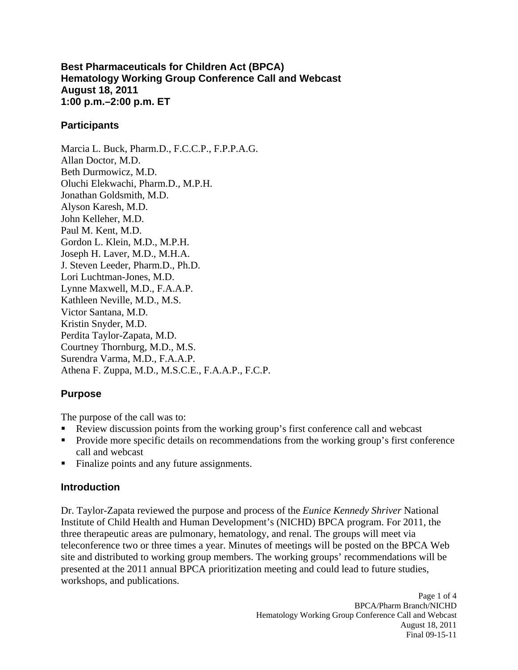#### **Best Pharmaceuticals for Children Act (BPCA) Hematology Working Group Conference Call and Webcast August 18, 2011 1:00 p.m.–2:00 p.m. ET**

### **Participants**

Marcia L. Buck, Pharm.D., F.C.C.P., F.P.P.A.G. Allan Doctor, M.D. Beth Durmowicz, M.D. Oluchi Elekwachi, Pharm.D., M.P.H. Jonathan Goldsmith, M.D. Alyson Karesh, M.D. John Kelleher, M.D. Paul M. Kent, M.D. Gordon L. Klein, M.D., M.P.H. Joseph H. Laver, M.D., M.H.A. J. Steven Leeder, Pharm.D., Ph.D. Lori Luchtman-Jones, M.D. Lynne Maxwell, M.D., F.A.A.P. Kathleen Neville, M.D., M.S. Victor Santana, M.D. Kristin Snyder, M.D. Perdita Taylor-Zapata, M.D. Courtney Thornburg, M.D., M.S. Surendra Varma, M.D., F.A.A.P. Athena F. Zuppa, M.D., M.S.C.E., F.A.A.P., F.C.P.

# **Purpose**

The purpose of the call was to:

- Review discussion points from the working group's first conference call and webcast
- . Provide more specific details on recommendations from the working group's first conference call and webcast
- . Finalize points and any future assignments.

### **Introduction**

Dr. Taylor-Zapata reviewed the purpose and process of the *Eunice Kennedy Shriver* National Institute of Child Health and Human Development's (NICHD) BPCA program. For 2011, the three therapeutic areas are pulmonary, hematology, and renal. The groups will meet via teleconference two or three times a year. Minutes of meetings will be posted on the BPCA Web site and distributed to working group members. The working groups' recommendations will be presented at the 2011 annual BPCA prioritization meeting and could lead to future studies, workshops, and publications.

> Page 1 of 4 BPCA/Pharm Branch/NICHD Hematology Working Group Conference Call and Webcast August 18, 2011 Final 09-15-11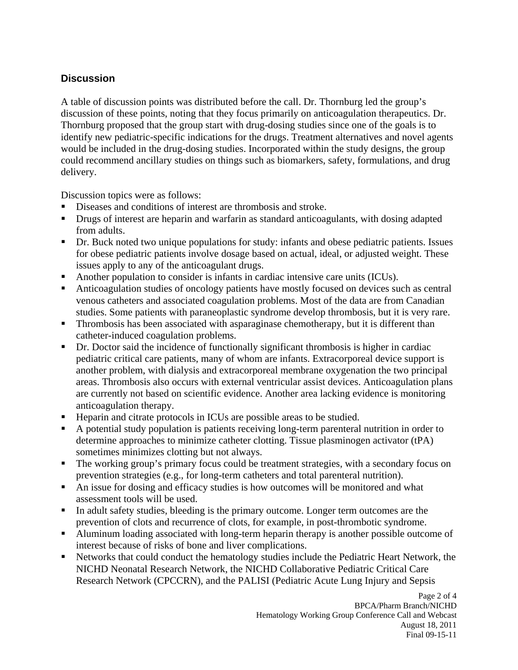# **Discussion**

A table of discussion points was distributed before the call. Dr. Thornburg led the group's discussion of these points, noting that they focus primarily on anticoagulation therapeutics. Dr. Thornburg proposed that the group start with drug-dosing studies since one of the goals is to identify new pediatric-specific indications for the drugs. Treatment alternatives and novel agents would be included in the drug-dosing studies. Incorporated within the study designs, the group could recommend ancillary studies on things such as biomarkers, safety, formulations, and drug delivery.

Discussion topics were as follows:

- ٠ Diseases and conditions of interest are thrombosis and stroke.
- **•** Drugs of interest are heparin and warfarin as standard anticoagulants, with dosing adapted from adults.
- ٠ Dr. Buck noted two unique populations for study: infants and obese pediatric patients. Issues for obese pediatric patients involve dosage based on actual, ideal, or adjusted weight. These issues apply to any of the anticoagulant drugs.
- Another population to consider is infants in cardiac intensive care units (ICUs).
- Anticoagulation studies of oncology patients have mostly focused on devices such as central venous catheters and associated coagulation problems. Most of the data are from Canadian studies. Some patients with paraneoplastic syndrome develop thrombosis, but it is very rare.
- **Thrombosis has been associated with asparaginase chemotherapy, but it is different than** catheter-induced coagulation problems.
- Dr. Doctor said the incidence of functionally significant thrombosis is higher in cardiac pediatric critical care patients, many of whom are infants. Extracorporeal device support is another problem, with dialysis and extracorporeal membrane oxygenation the two principal areas. Thrombosis also occurs with external ventricular assist devices. Anticoagulation plans are currently not based on scientific evidence. Another area lacking evidence is monitoring anticoagulation therapy.
- $\blacksquare$ Heparin and citrate protocols in ICUs are possible areas to be studied.
- ٠ A potential study population is patients receiving long-term parenteral nutrition in order to determine approaches to minimize catheter clotting. Tissue plasminogen activator (tPA) sometimes minimizes clotting but not always.
- $\blacksquare$ The working group's primary focus could be treatment strategies, with a secondary focus on prevention strategies (e.g., for long-term catheters and total parenteral nutrition).
- ٠ An issue for dosing and efficacy studies is how outcomes will be monitored and what assessment tools will be used.
- In adult safety studies, bleeding is the primary outcome. Longer term outcomes are the prevention of clots and recurrence of clots, for example, in post-thrombotic syndrome.
- ٠ Aluminum loading associated with long-term heparin therapy is another possible outcome of interest because of risks of bone and liver complications.
- Networks that could conduct the hematology studies include the Pediatric Heart Network, the NICHD Neonatal Research Network, the NICHD Collaborative Pediatric Critical Care Research Network (CPCCRN), and the PALISI (Pediatric Acute Lung Injury and Sepsis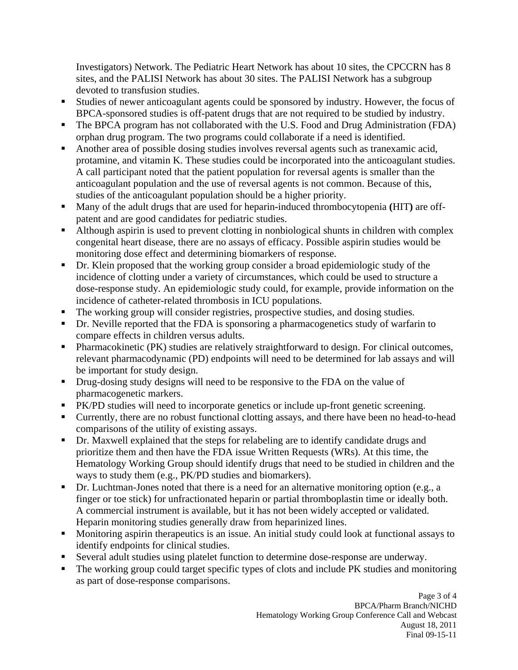Investigators) Network. The Pediatric Heart Network has about 10 sites, the CPCCRN has 8 sites, and the PALISI Network has about 30 sites. The PALISI Network has a subgroup devoted to transfusion studies.

- Studies of newer anticoagulant agents could be sponsored by industry. However, the focus of BPCA-sponsored studies is off-patent drugs that are not required to be studied by industry.
- ٠ The BPCA program has not collaborated with the U.S. Food and Drug Administration (FDA) orphan drug program. The two programs could collaborate if a need is identified.
- ٠ Another area of possible dosing studies involves reversal agents such as tranexamic acid, protamine, and vitamin K. These studies could be incorporated into the anticoagulant studies. A call participant noted that the patient population for reversal agents is smaller than the anticoagulant population and the use of reversal agents is not common. Because of this, studies of the anticoagulant population should be a higher priority.
- $\blacksquare$ Many of the adult drugs that are used for heparin**-**induced thrombocytopenia **(**HIT**)** are offpatent and are good candidates for pediatric studies.
- Although aspirin is used to prevent clotting in nonbiological shunts in children with complex congenital heart disease, there are no assays of efficacy. Possible aspirin studies would be monitoring dose effect and determining biomarkers of response.
- $\blacksquare$ Dr. Klein proposed that the working group consider a broad epidemiologic study of the incidence of clotting under a variety of circumstances, which could be used to structure a dose-response study. An epidemiologic study could, for example, provide information on the incidence of catheter-related thrombosis in ICU populations.
- ٠ The working group will consider registries, prospective studies, and dosing studies.
- **•** Dr. Neville reported that the FDA is sponsoring a pharmacogenetics study of warfarin to compare effects in children versus adults.
- $\blacksquare$ Pharmacokinetic (PK) studies are relatively straightforward to design. For clinical outcomes, relevant pharmacodynamic (PD) endpoints will need to be determined for lab assays and will be important for study design.
- $\blacksquare$ Drug-dosing study designs will need to be responsive to the FDA on the value of pharmacogenetic markers.
- **PK/PD** studies will need to incorporate genetics or include up-front genetic screening.
- Currently, there are no robust functional clotting assays, and there have been no head-to-head comparisons of the utility of existing assays.
- Dr. Maxwell explained that the steps for relabeling are to identify candidate drugs and prioritize them and then have the FDA issue Written Requests (WRs). At this time, the Hematology Working Group should identify drugs that need to be studied in children and the ways to study them (e.g., PK/PD studies and biomarkers).
- ٠ Dr. Luchtman-Jones noted that there is a need for an alternative monitoring option (e.g., a finger or toe stick) for unfractionated heparin or partial thromboplastin time or ideally both. A commercial instrument is available, but it has not been widely accepted or validated. Heparin monitoring studies generally draw from heparinized lines.
- ٠ Monitoring aspirin therapeutics is an issue. An initial study could look at functional assays to identify endpoints for clinical studies.
- Several adult studies using platelet function to determine dose-response are underway.
- The working group could target specific types of clots and include PK studies and monitoring as part of dose-response comparisons.